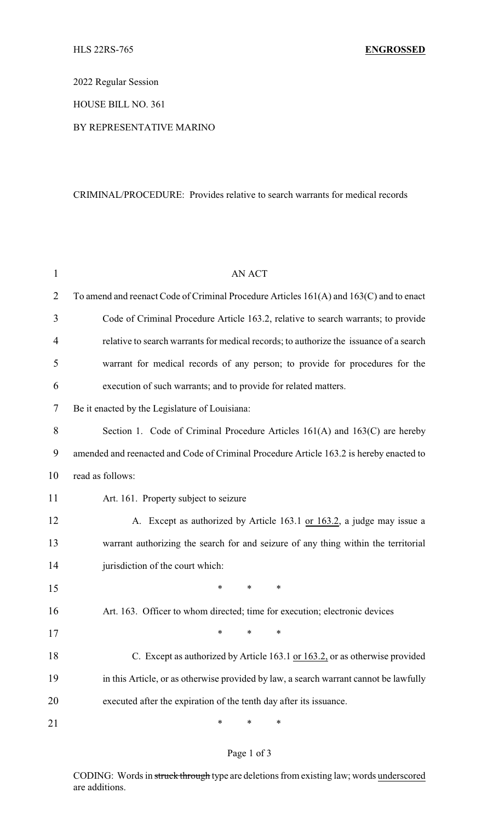2022 Regular Session

HOUSE BILL NO. 361

## BY REPRESENTATIVE MARINO

## CRIMINAL/PROCEDURE: Provides relative to search warrants for medical records

| 1              | <b>AN ACT</b>                                                                           |  |  |
|----------------|-----------------------------------------------------------------------------------------|--|--|
| $\overline{2}$ | To amend and reenact Code of Criminal Procedure Articles 161(A) and 163(C) and to enact |  |  |
| 3              | Code of Criminal Procedure Article 163.2, relative to search warrants; to provide       |  |  |
| 4              | relative to search warrants for medical records; to authorize the issuance of a search  |  |  |
| 5              | warrant for medical records of any person; to provide for procedures for the            |  |  |
| 6              | execution of such warrants; and to provide for related matters.                         |  |  |
| 7              | Be it enacted by the Legislature of Louisiana:                                          |  |  |
| 8              | Section 1. Code of Criminal Procedure Articles 161(A) and 163(C) are hereby             |  |  |
| 9              | amended and reenacted and Code of Criminal Procedure Article 163.2 is hereby enacted to |  |  |
| 10             | read as follows:                                                                        |  |  |
| 11             | Art. 161. Property subject to seizure                                                   |  |  |
| 12             | A. Except as authorized by Article 163.1 or 163.2, a judge may issue a                  |  |  |
| 13             | warrant authorizing the search for and seizure of any thing within the territorial      |  |  |
| 14             | jurisdiction of the court which:                                                        |  |  |
| 15             | *<br>*<br>∗                                                                             |  |  |
| 16             | Art. 163. Officer to whom directed; time for execution; electronic devices              |  |  |
| 17             | $\ast$ $\ast$ $\ast$                                                                    |  |  |
| 18             | C. Except as authorized by Article 163.1 or 163.2, or as otherwise provided             |  |  |
| 19             | in this Article, or as otherwise provided by law, a search warrant cannot be lawfully   |  |  |
| 20             | executed after the expiration of the tenth day after its issuance.                      |  |  |
| 21             | ∗<br>∗<br>∗                                                                             |  |  |

## Page 1 of 3

CODING: Words in struck through type are deletions from existing law; words underscored are additions.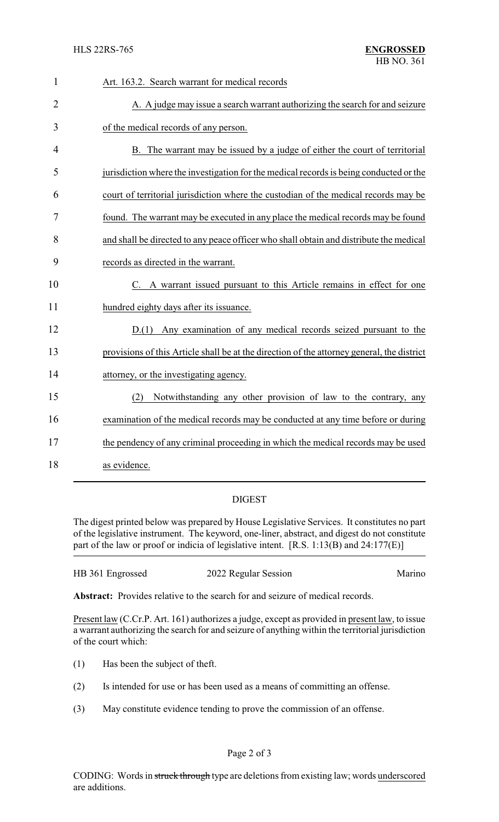| $\mathbf{1}$   | Art. 163.2. Search warrant for medical records                                             |
|----------------|--------------------------------------------------------------------------------------------|
| $\overline{2}$ | A. A judge may issue a search warrant authorizing the search for and seizure               |
| 3              | of the medical records of any person.                                                      |
| 4              | B. The warrant may be issued by a judge of either the court of territorial                 |
| 5              | jurisdiction where the investigation for the medical records is being conducted or the     |
| 6              | court of territorial jurisdiction where the custodian of the medical records may be        |
| 7              | found. The warrant may be executed in any place the medical records may be found           |
| 8              | and shall be directed to any peace officer who shall obtain and distribute the medical     |
| 9              | records as directed in the warrant.                                                        |
| 10             | C. A warrant issued pursuant to this Article remains in effect for one                     |
| 11             | hundred eighty days after its issuance.                                                    |
| 12             | D.(1) Any examination of any medical records seized pursuant to the                        |
| 13             | provisions of this Article shall be at the direction of the attorney general, the district |
| 14             | attorney, or the investigating agency.                                                     |
| 15             | Notwithstanding any other provision of law to the contrary, any<br>(2)                     |
| 16             | examination of the medical records may be conducted at any time before or during           |
| 17             | the pendency of any criminal proceeding in which the medical records may be used           |
| 18             | as evidence.                                                                               |

## DIGEST

The digest printed below was prepared by House Legislative Services. It constitutes no part of the legislative instrument. The keyword, one-liner, abstract, and digest do not constitute part of the law or proof or indicia of legislative intent. [R.S. 1:13(B) and 24:177(E)]

| HB 361 Engrossed | 2022 Regular Session | Marino |
|------------------|----------------------|--------|
|                  |                      |        |

**Abstract:** Provides relative to the search for and seizure of medical records.

Present law (C.Cr.P. Art. 161) authorizes a judge, except as provided in present law, to issue a warrant authorizing the search for and seizure of anything within the territorial jurisdiction of the court which:

- (1) Has been the subject of theft.
- (2) Is intended for use or has been used as a means of committing an offense.
- (3) May constitute evidence tending to prove the commission of an offense.